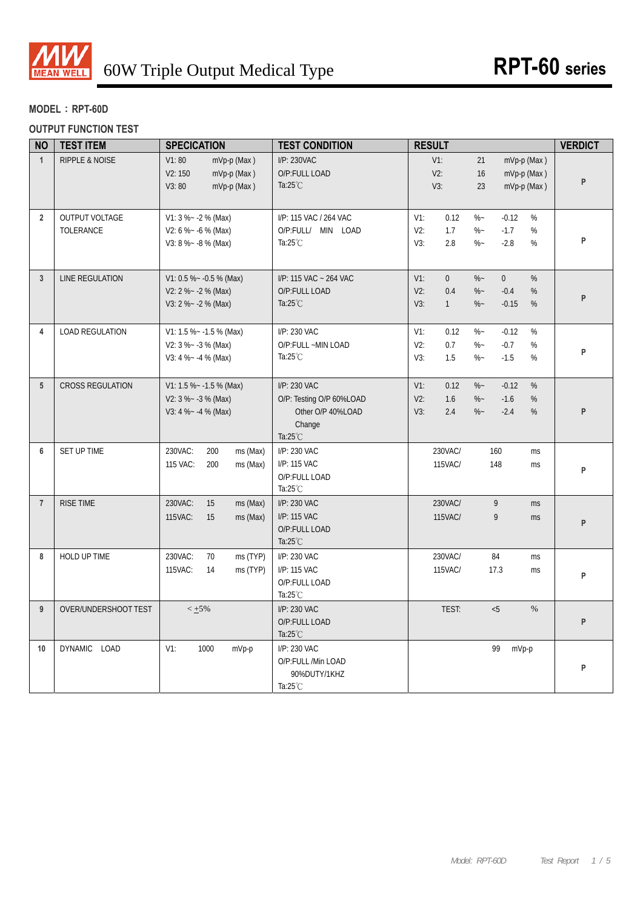

### **MODEL**:**RPT-60D**

#### **OUTPUT FUNCTION TEST**

| <b>NO</b>       | <b>TEST ITEM</b>                   | <b>SPECICATION</b>                                                         | <b>TEST CONDITION</b>                                                                         | <b>RESULT</b>                                                                                                                                     | <b>VERDICT</b> |
|-----------------|------------------------------------|----------------------------------------------------------------------------|-----------------------------------------------------------------------------------------------|---------------------------------------------------------------------------------------------------------------------------------------------------|----------------|
| $\mathbf{1}$    | <b>RIPPLE &amp; NOISE</b>          | V1:80<br>mVp-p (Max)<br>V2:150<br>mVp-p (Max)<br>V3:80<br>mVp-p (Max)      | I/P: 230VAC<br>O/P:FULL LOAD<br>Ta: $25^{\circ}$ C                                            | $V1$ :<br>21<br>mVp-p (Max)<br>V2:<br>16<br>mVp-p (Max)<br>V3:<br>23<br>mVp-p (Max)                                                               | P              |
| $\overline{2}$  | <b>OUTPUT VOLTAGE</b><br>TOLERANCE | $V1: 3 % -2 % (Max)$<br>$V2: 6 % ~ -6 % (Max)$<br>$V3: 8 % - 8 % (Max)$    | I/P: 115 VAC / 264 VAC<br>O/P:FULL/ MIN LOAD<br>Ta: $25^{\circ}$ C                            | $V1$ :<br>0.12<br>$\%$ ~<br>$-0.12$<br>%<br>V2:<br>1.7<br>$-1.7$<br>%<br>$\%$ ~<br>V3:<br>2.8<br>$\%$ ~<br>$-2.8$<br>%                            | P              |
| $\mathbf{3}$    | LINE REGULATION                    | V1: 0.5 % ~ - 0.5 % (Max)<br>$V2: 2 % -2 % (Max)$<br>$V3: 2 % -2 % (Max)$  | I/P: 115 VAC ~ 264 VAC<br>O/P:FULL LOAD<br>Ta:25 $°C$                                         | $\overline{0}$<br>$V1$ :<br>$% -$<br>$\overline{0}$<br>%<br>$V2$ :<br>0.4<br>$-0.4$<br>%<br>$% -$<br>$-0.15$<br>V3:<br>$\mathbf{1}$<br>$% -$<br>% | P              |
| 4               | <b>LOAD REGULATION</b>             | V1: 1.5 % ~ - 1.5 % (Max)<br>$V2: 3 % -3 % (Max)$<br>$V3: 4 % - 4 % (Max)$ | I/P: 230 VAC<br>O/P:FULL ~MIN LOAD<br>Ta: $25^{\circ}$ C                                      | $V1$ :<br>0.12<br>$\%$ ~<br>$-0.12$<br>%<br>V2:<br>0.7<br>$\%$ ~<br>$-0.7$<br>%<br>V3:<br>1.5<br>$\%$ ~<br>$-1.5$<br>%                            | P              |
| $5\phantom{.0}$ | <b>CROSS REGULATION</b>            | V1: 1.5 % ~ - 1.5 % (Max)<br>$V2: 3 % -3 % (Max)$<br>V3: 4 %~ -4 % (Max)   | I/P: 230 VAC<br>O/P: Testing O/P 60%LOAD<br>Other O/P 40%LOAD<br>Change<br>Ta: $25^{\circ}$ C | 0.12<br>$-0.12$<br>%<br>$V1$ :<br>$% -$<br>$V2$ :<br>1.6<br>$\%$ ~<br>$-1.6$<br>%<br>2.4<br>V3:<br>$\%$ ~<br>$-2.4$<br>%                          | P              |
| 6               | SET UP TIME                        | 230VAC:<br>200<br>ms (Max)<br>115 VAC:<br>200<br>ms (Max)                  | I/P: 230 VAC<br>I/P: 115 VAC<br>O/P:FULL LOAD<br>Ta: $25^{\circ}$ C                           | 230VAC/<br>160<br>ms<br>115VAC/<br>148<br>ms                                                                                                      | P              |
| $\overline{7}$  | <b>RISE TIME</b>                   | 230VAC:<br>15<br>ms (Max)<br>115VAC:<br>15<br>ms (Max)                     | I/P: 230 VAC<br>I/P: 115 VAC<br>O/P:FULL LOAD<br>Ta: $25^{\circ}$ C                           | 230VAC/<br>9<br>ms<br>115VAC/<br>9<br>ms                                                                                                          | P              |
| 8               | HOLD UP TIME                       | 230VAC:<br>70<br>ms (TYP)<br>115VAC:<br>ms (TYP)<br>14                     | I/P: 230 VAC<br>I/P: 115 VAC<br>O/P:FULL LOAD<br>Ta: $25^{\circ}$ C                           | 230VAC/<br>84<br>ms<br>115VAC/<br>17.3<br>ms                                                                                                      | P              |
| 9               | OVER/UNDERSHOOT TEST               | $< +5\%$                                                                   | I/P: 230 VAC<br>O/P:FULL LOAD<br>Ta: $25^{\circ}$ C                                           | TEST:<br>< 5<br>$\%$                                                                                                                              | P              |
| 10              | DYNAMIC LOAD                       | $V1$ :<br>1000<br>mVp-p                                                    | I/P: 230 VAC<br>O/P:FULL /Min LOAD<br>90%DUTY/1KHZ<br>Ta: $25^{\circ}$ C                      | 99<br>mVp-p                                                                                                                                       | P              |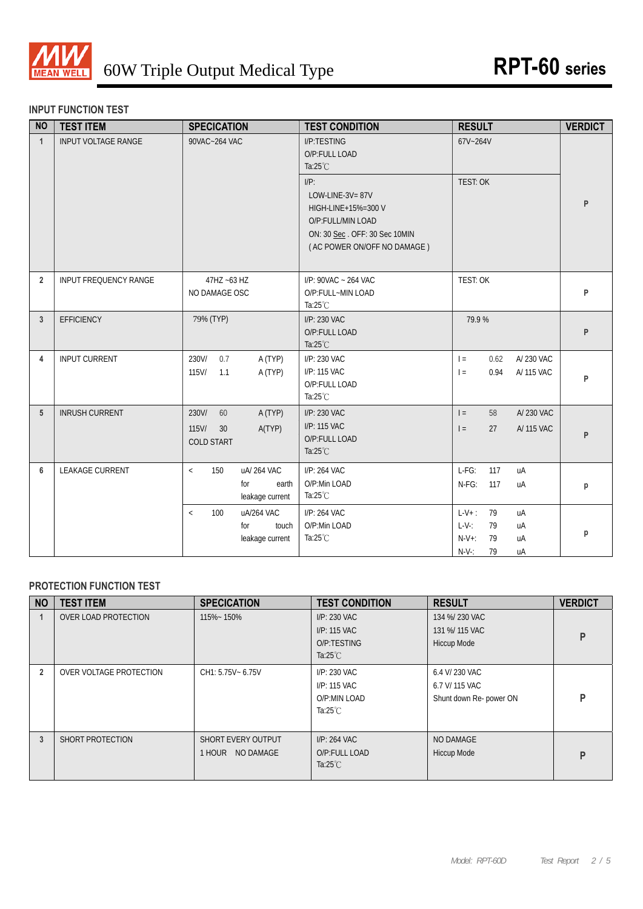

#### **INPUT FUNCTION TEST**

| <b>NO</b>      | <b>TEST ITEM</b>           | <b>SPECICATION</b>                                                   | <b>TEST CONDITION</b>                                                                                                                                                                        | <b>RESULT</b>                                                                              | <b>VERDICT</b> |
|----------------|----------------------------|----------------------------------------------------------------------|----------------------------------------------------------------------------------------------------------------------------------------------------------------------------------------------|--------------------------------------------------------------------------------------------|----------------|
| $\mathbf{1}$   | <b>INPUT VOLTAGE RANGE</b> | 90VAC~264 VAC                                                        | I/P:TESTING<br>O/P:FULL LOAD<br>Ta: $25^{\circ}$ C<br>$I/P$ :<br>LOW-LINE-3V=87V<br>HIGH-LINE+15%=300 V<br>O/P:FULL/MIN LOAD<br>ON: 30 Sec. OFF: 30 Sec 10MIN<br>(AC POWER ON/OFF NO DAMAGE) | 67V~264V<br><b>TEST: OK</b>                                                                | P              |
| $\overline{2}$ | INPUT FREQUENCY RANGE      | 47HZ ~63 HZ<br>NO DAMAGE OSC                                         | I/P: 90VAC ~ 264 VAC<br>O/P:FULL~MIN LOAD<br>Ta: $25^{\circ}$ C                                                                                                                              | TEST: OK                                                                                   | P              |
| 3              | <b>EFFICIENCY</b>          | 79% (TYP)                                                            | I/P: 230 VAC<br>O/P:FULL LOAD<br>Ta: $25^{\circ}$ C                                                                                                                                          | 79.9%                                                                                      | P              |
| 4              | <b>INPUT CURRENT</b>       | 0.7<br>230V/<br>A (TYP)<br>115V/<br>A (TYP)<br>1.1                   | I/P: 230 VAC<br>I/P: 115 VAC<br>O/P:FULL LOAD<br>Ta: $25^{\circ}$ C                                                                                                                          | A/230 VAC<br>$=$<br>0.62<br>0.94<br>A/ 115 VAC<br>$=$                                      | P              |
| 5              | <b>INRUSH CURRENT</b>      | 230V/<br>60<br>A (TYP)<br>115V/<br>30<br>A(TYP)<br><b>COLD START</b> | I/P: 230 VAC<br>I/P: 115 VAC<br>O/P:FULL LOAD<br>Ta: $25^{\circ}$ C                                                                                                                          | A/ 230 VAC<br>$=$<br>58<br>A/ 115 VAC<br>$\vert$ =<br>27                                   | P              |
| 6              | <b>LEAKAGE CURRENT</b>     | uA/264 VAC<br>150<br>$\,<\,$<br>for<br>earth<br>leakage current      | I/P: 264 VAC<br>O/P:Min LOAD<br>Ta: $25^{\circ}$ C                                                                                                                                           | $L-FG$ :<br>117<br>uA<br>N-FG:<br>117<br>uA                                                | p              |
|                |                            | uA/264 VAC<br>100<br>$\,<\,$<br>for<br>touch<br>leakage current      | I/P: 264 VAC<br>O/P:Min LOAD<br>Ta: $25^{\circ}$ C                                                                                                                                           | $L-V+$ :<br>79<br>uA<br>$L-V$ :<br>79<br>uA<br>$N-V+$ :<br>79<br>uA<br>$N-V$ :<br>79<br>uA | p              |

### **PROTECTION FUNCTION TEST**

| <b>NO</b>      | <b>TEST ITEM</b>        | <b>SPECICATION</b>                     | <b>TEST CONDITION</b>                                              | <b>RESULT</b>                                               | <b>VERDICT</b> |
|----------------|-------------------------|----------------------------------------|--------------------------------------------------------------------|-------------------------------------------------------------|----------------|
|                | OVER LOAD PROTECTION    | 115%~150%                              | I/P: 230 VAC<br>I/P: 115 VAC<br>O/P:TESTING<br>Ta: $25^{\circ}$ C  | 134 %/ 230 VAC<br>131 %/ 115 VAC<br>Hiccup Mode             | P              |
| $\overline{2}$ | OVER VOLTAGE PROTECTION | CH1: 5.75V ~ 6.75V                     | I/P: 230 VAC<br>I/P: 115 VAC<br>O/P:MIN LOAD<br>Ta: $25^{\circ}$ C | 6.4 V/ 230 VAC<br>6.7 V/ 115 VAC<br>Shunt down Re- power ON | D              |
| 3              | SHORT PROTECTION        | SHORT EVERY OUTPUT<br>1 HOUR NO DAMAGE | I/P: 264 VAC<br>O/P:FULL LOAD<br>Ta: $25^{\circ}$ C                | NO DAMAGE<br>Hiccup Mode                                    | P              |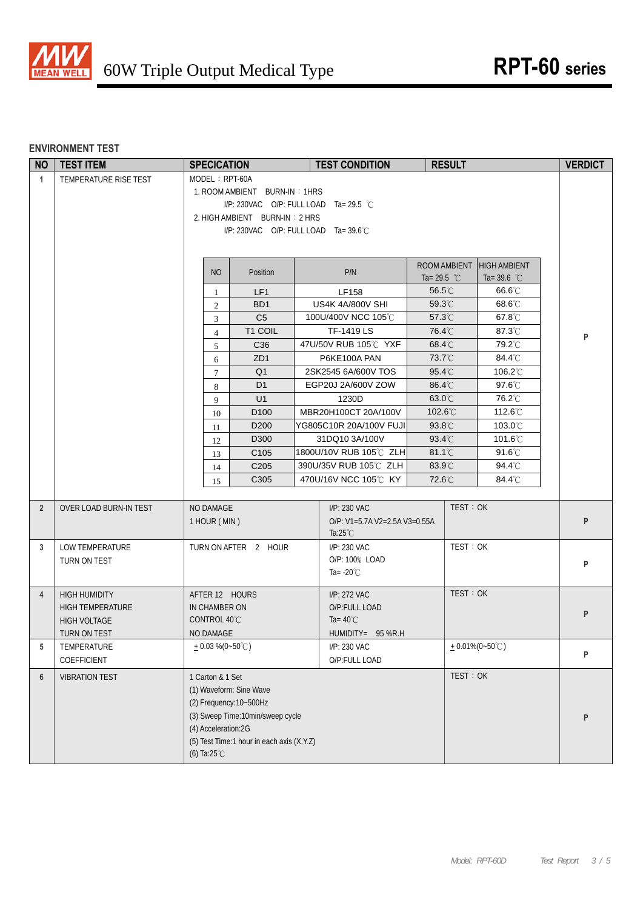

### **ENVIRONMENT TEST**

| <b>NO</b>      | <b>TEST ITEM</b>        | <b>SPECICATION</b>     |                                           | <b>TEST CONDITION</b>                    |                  | <b>RESULT</b> |                           | <b>VERDICT</b> |
|----------------|-------------------------|------------------------|-------------------------------------------|------------------------------------------|------------------|---------------|---------------------------|----------------|
| $\mathbf{1}$   | TEMPERATURE RISE TEST   | MODEL: RPT-60A         |                                           |                                          |                  |               |                           |                |
|                |                         |                        | 1. ROOM AMBIENT BURN-IN: 1HRS             |                                          |                  |               |                           |                |
|                |                         |                        | I/P: 230VAC O/P: FULL LOAD Ta= 29.5 °C    |                                          |                  |               |                           |                |
|                |                         |                        | 2. HIGH AMBIENT BURN-IN: 2 HRS            |                                          |                  |               |                           |                |
|                |                         |                        | I/P: 230VAC O/P: FULL LOAD Ta= 39.6°C     |                                          |                  |               |                           |                |
|                |                         |                        |                                           |                                          |                  |               |                           |                |
|                |                         |                        |                                           |                                          |                  |               | ROOM AMBIENT HIGH AMBIENT |                |
|                |                         | <b>NO</b>              | Position                                  | P/N                                      | Ta= 29.5 $°C$    |               | Ta= $39.6$ °C             |                |
|                |                         | 1                      | LF1                                       | LF158                                    | 56.5°C           |               | 66.6°C                    |                |
|                |                         | $\overline{2}$         | BD <sub>1</sub>                           | US4K 4A/800V SHI                         | $59.3^{\circ}$ C |               | 68.6°C                    |                |
|                |                         | $\mathfrak{Z}$         | C <sub>5</sub>                            | 100U/400V NCC 105°C                      | 57.3°C           |               | 67.8°C                    |                |
|                |                         | $\overline{4}$         | T1 COIL                                   | <b>TF-1419 LS</b>                        | 76.4°C           |               | 87.3°C                    | P              |
|                |                         | 5                      | C <sub>36</sub>                           | 47U/50V RUB 105℃ YXF                     | 68.4°C           |               | 79.2°C                    |                |
|                |                         | 6                      | ZD <sub>1</sub>                           | P6KE100A PAN                             | 73.7°C           |               | 84.4°C                    |                |
|                |                         | $\tau$                 | Q <sub>1</sub>                            | 2SK2545 6A/600V TOS                      | $95.4^{\circ}$   |               | 106.2°C                   |                |
|                |                         | 8                      | D <sub>1</sub>                            | EGP20J 2A/600V ZOW                       | 86.4°C           |               | $97.6^{\circ}$ C          |                |
|                |                         | 9                      | U1                                        | 1230D                                    | 63.0°C           |               | 76.2°C                    |                |
|                |                         | 10                     | D <sub>100</sub>                          | MBR20H100CT 20A/100V                     | 102.6°C          |               | 112.6°C                   |                |
|                |                         | 11                     | D <sub>200</sub>                          | YG805C10R 20A/100V FUJI                  | 93.8°C<br>93.4°C |               | 103.0°C<br>101.6°C        |                |
|                |                         | 12                     | D300<br>C <sub>105</sub>                  | 31DQ10 3A/100V<br>1800U/10V RUB 105℃ ZLH | $81.1^{\circ}$ C |               | $91.6^{\circ}$ C          |                |
|                |                         | 13                     | C <sub>205</sub>                          | 390U/35V RUB 105°C ZLH                   | 83.9°C           |               | 94.4°C                    |                |
|                |                         | 14<br>15               | C305                                      | 470U/16V NCC 105°C KY                    | 72.6°C           |               | 84.4°C                    |                |
|                |                         |                        |                                           |                                          |                  |               |                           |                |
| $\overline{2}$ | OVER LOAD BURN-IN TEST  | NO DAMAGE              |                                           | $I/P$ : 230 VAC                          |                  | TEST: OK      |                           |                |
|                |                         | 1 HOUR (MIN)           |                                           | O/P: V1=5.7A V2=2.5A V3=0.55A            |                  |               |                           | P              |
|                |                         |                        |                                           | Ta: $25^{\circ}$ C                       |                  |               |                           |                |
| 3              | LOW TEMPERATURE         |                        | TURN ON AFTER 2 HOUR                      | I/P: 230 VAC                             |                  | TEST: OK      |                           |                |
|                | TURN ON TEST            |                        |                                           | O/P: 100% LOAD                           |                  |               |                           | P              |
|                |                         |                        |                                           | Ta= $-20^{\circ}$ C                      |                  |               |                           |                |
| $\overline{4}$ | <b>HIGH HUMIDITY</b>    | AFTER 12 HOURS         |                                           | I/P: 272 VAC                             |                  | TEST: OK      |                           |                |
|                | <b>HIGH TEMPERATURE</b> | IN CHAMBER ON          |                                           | O/P:FULL LOAD                            |                  |               |                           | P              |
|                | HIGH VOLTAGE            | CONTROL 40°C           |                                           | Ta= $40^{\circ}$ C                       |                  |               |                           |                |
|                | TURN ON TEST            | NO DAMAGE              |                                           | HUMIDITY= 95 %R.H                        |                  |               |                           |                |
| 5              | TEMPERATURE             | $+0.03\%$ (0~50°C)     |                                           | I/P: 230 VAC                             |                  |               | $+0.01\%(0-50^{\circ}C)$  | P              |
|                | COEFFICIENT             |                        |                                           | O/P:FULL LOAD                            |                  |               |                           |                |
| $6\phantom{1}$ | <b>VIBRATION TEST</b>   | 1 Carton & 1 Set       |                                           |                                          |                  | TEST: OK      |                           |                |
|                |                         |                        | (1) Waveform: Sine Wave                   |                                          |                  |               |                           |                |
|                |                         |                        | (2) Frequency: 10~500Hz                   |                                          |                  |               |                           |                |
|                |                         | (4) Acceleration:2G    | (3) Sweep Time:10min/sweep cycle          |                                          |                  |               |                           | P              |
|                |                         |                        | (5) Test Time:1 hour in each axis (X.Y.Z) |                                          |                  |               |                           |                |
|                |                         | (6) Ta: $25^{\circ}$ C |                                           |                                          |                  |               |                           |                |
|                |                         |                        |                                           |                                          |                  |               |                           |                |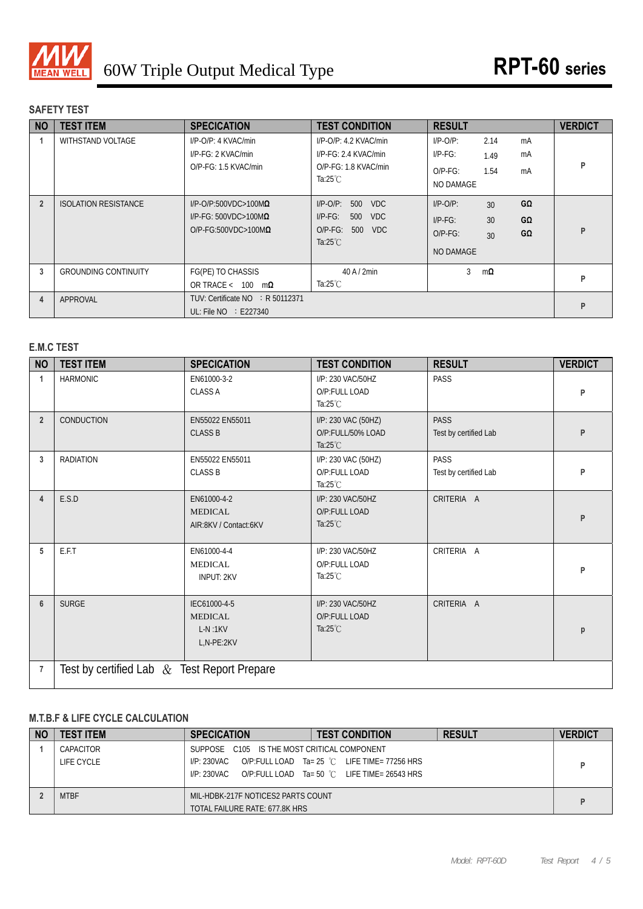

# **SAFETY TEST**

| <b>NO</b>      | <b>TEST ITEM</b>            | <b>SPECICATION</b>                                                                                 | <b>TEST CONDITION</b>                                                                                                  | <b>RESULT</b>                                        |                                        | <b>VERDICT</b> |
|----------------|-----------------------------|----------------------------------------------------------------------------------------------------|------------------------------------------------------------------------------------------------------------------------|------------------------------------------------------|----------------------------------------|----------------|
| 1              | WITHSTAND VOLTAGE           | $I/P$ -O/P: 4 KVAC/min<br>I/P-FG: 2 KVAC/min<br>O/P-FG: 1.5 KVAC/min                               | $I/P$ -O/P: 4.2 KVAC/min<br>$I/P$ - $F$ G: 2.4 KVAC/min<br>O/P-FG: 1.8 KVAC/min<br>Ta: $25^{\circ}$ C                  | $I/P$ -O/P:<br>$I/P-FG$ :<br>$O/P-FG$ :<br>NO DAMAGE | 2.14<br>mA<br>mA<br>1.49<br>1.54<br>mA | P              |
| $\overline{2}$ | <b>ISOLATION RESISTANCE</b> | $I/P$ -O/P:500VDC>100M $\Omega$<br>$I/P-FG: 500VDC > 100M\Omega$<br>$O/P$ -FG:500VDC>100M $\Omega$ | <b>VDC</b><br>$I/P$ - $O/P$ :<br>500<br>$I/P-FG$ :<br><b>VDC</b><br>500<br>$O/P-FG$ :<br>500 VDC<br>Ta: $25^{\circ}$ C | $I/P-O/P$ :<br>$I/P-FG$ :<br>$O/P-FG$ :<br>NO DAMAGE | GΩ<br>30<br>GΩ<br>30<br>GΩ<br>30       | P              |
| 3              | <b>GROUNDING CONTINUITY</b> | FG(PE) TO CHASSIS<br>OR TRACE < $100 \text{ m}\Omega$                                              | $40$ A $/$ 2min<br>Ta:25 $°C$                                                                                          | 3                                                    | $m\Omega$                              | P              |
| $\overline{4}$ | APPROVAL                    | TUV: Certificate NO : R 50112371<br>UL: File $NO$ : E227340                                        |                                                                                                                        |                                                      |                                        | P              |

# **E.M.C TEST**

| <b>NO</b>      | <b>TEST ITEM</b>                              | <b>SPECICATION</b>                                        | <b>TEST CONDITION</b>                                          | <b>RESULT</b>                        | <b>VERDICT</b> |
|----------------|-----------------------------------------------|-----------------------------------------------------------|----------------------------------------------------------------|--------------------------------------|----------------|
| 1              | <b>HARMONIC</b>                               | EN61000-3-2<br><b>CLASS A</b>                             | I/P: 230 VAC/50HZ<br>O/P:FULL LOAD<br>Ta: $25^{\circ}$ C       | <b>PASS</b>                          | P              |
| $\overline{2}$ | <b>CONDUCTION</b>                             | EN55022 EN55011<br><b>CLASS B</b>                         | I/P: 230 VAC (50HZ)<br>O/P:FULL/50% LOAD<br>Ta: $25^{\circ}$ C | <b>PASS</b><br>Test by certified Lab | P              |
| 3              | <b>RADIATION</b>                              | EN55022 EN55011<br><b>CLASS B</b>                         | I/P: 230 VAC (50HZ)<br>O/P:FULL LOAD<br>Ta: $25^{\circ}$ C     | <b>PASS</b><br>Test by certified Lab | P              |
| $\overline{4}$ | E.S.D                                         | EN61000-4-2<br><b>MEDICAL</b><br>AIR:8KV / Contact:6KV    | I/P: 230 VAC/50HZ<br>O/P:FULL LOAD<br>Ta: $25^{\circ}$ C       | CRITERIA A                           | P              |
| 5              | E.F.T                                         | EN61000-4-4<br><b>MEDICAL</b><br><b>INPUT: 2KV</b>        | I/P: 230 VAC/50HZ<br>O/P:FULL LOAD<br>Ta: $25^{\circ}$ C       | CRITERIA A                           | P              |
| $6\phantom{1}$ | <b>SURGE</b>                                  | IEC61000-4-5<br><b>MEDICAL</b><br>$L-N:1KV$<br>L,N-PE:2KV | I/P: 230 VAC/50HZ<br>O/P:FULL LOAD<br>Ta: $25^{\circ}$ C       | CRITERIA A                           | р              |
| $\overline{7}$ | Test by certified Lab $&$ Test Report Prepare |                                                           |                                                                |                                      |                |

## **M.T.B.F & LIFE CYCLE CALCULATION**

| <b>NO</b> | <b>TEST ITEM</b>        | <b>SPECICATION</b>                                                           | <b>TEST CONDITION</b>                                                                                  | <b>RESULT</b> | <b>VERDICT</b> |
|-----------|-------------------------|------------------------------------------------------------------------------|--------------------------------------------------------------------------------------------------------|---------------|----------------|
|           | CAPACITOR<br>LIFE CYCLE | SUPPOSE C105 IS THE MOST CRITICAL COMPONENT<br>I/P: 230VAC<br>$I/P: 230$ VAC | O/P:FULL LOAD Ta= 25 °C LIFE TIME= 77256 HRS<br>O/P:FULL LOAD Ta= 50 $^{\circ}$ C LIFE TIME= 26543 HRS |               |                |
|           | <b>MTBF</b>             | MIL-HDBK-217F NOTICES2 PARTS COUNT<br>TOTAL FAILURE RATE: 677.8K HRS         |                                                                                                        |               |                |